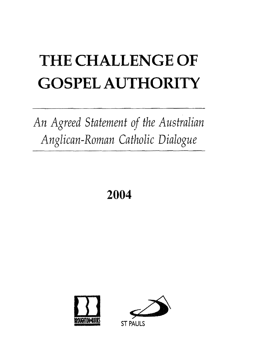# **THE CHALLENGE OF GOSPEL AUTHORITY**

An *Agreed Statement of the Australian Anglican-Roman Catholic Dialogue* 

**2004** 



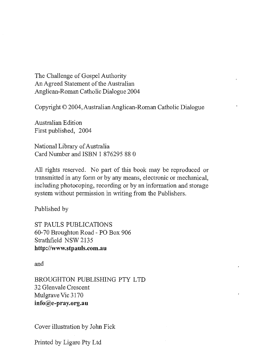The Challenge of Gospel Authority An Agreed Statement of the Australian Anglican-Roman Catholic Dialogue 2004

Copyright © 2004, Australian Anglican-Roman Catholic Dialogue

Australian Edition First published, 2004

National Library of Australia Card Number and ISBN 1 876295 88 0

All rights reserved. No part of this book may be reproduced or transmitted in any form or by any means, electronic or mechanical, including photocoping, recording or by an information and storage system without permission in writing from the Publishers.

Published by

ST PAULS PUBLICATIONS 60-70 Broughton Road - PO Box 906 Strathfield NSW 2135 http://www.stpauls.com.au

and

BROUGHTON PUBLISHING PTY LTD 32 Glenvale Crescent Mulgrave Vic 3170 infoge-pray.org.au

Cover illustration by John Fick

Printed by Ligare Pty Ltd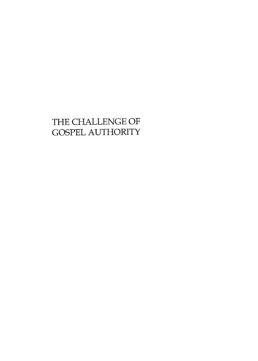## THE CHALLENGE OF GOSPEL AUTHORITY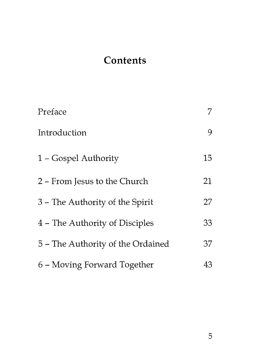# **Contents**

| Contents                          |    |
|-----------------------------------|----|
|                                   |    |
| Preface                           | 7  |
| Introduction                      | 9  |
| 1 - Gospel Authority              | 15 |
| 2 - From Jesus to the Church      | 21 |
| 3 - The Authority of the Spirit   | 27 |
| 4 - The Authority of Disciples    | 33 |
| 5 - The Authority of the Ordained | 37 |
| 6 - Moving Forward Together       | 43 |
|                                   |    |
|                                   |    |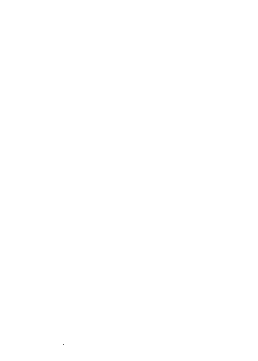$\sim 10^{-10}$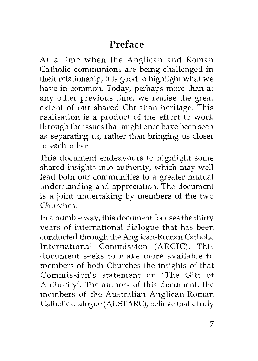# **Preface**

At a time when the Anglican and Roman Catholic communions are being challenged in their relationship, it is good to highlight what we have in common. Today, perhaps more than at any other previous time, we realise the great extent of our shared Christian heritage. This realisation is a product of the effort to work through the issues that might once have been seen as separating us, rather than bringing us closer to each other.

This document endeavours to highlight some shared insights into authority, which may well lead both our communities to a greater mutual understanding and appreciation. The document is a joint undertaking by members of the two Churches.

In a humble way, this document focuses the thirty years of international dialogue that has been conducted through the Anglican-Roman Catholic International Commission (ARCIC). This document seeks to make more available to members of both Churches the insights of that Commission's statement on 'The Gift of Authority'. The authors of this document, the members of the Australian Anglican-Roman Catholic dialogue (AUSTARC), believe that a truly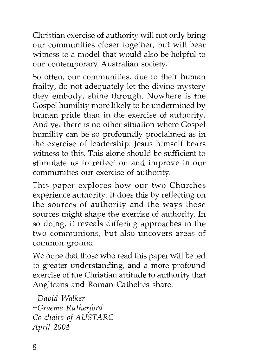Christian exercise of authority will not only bring our communities closer together, but will bear witness to a model that would also be helpful to our contemporary Australian society.

So often, our communities, due to their human frailty, do not adequately let the divine mystery they embody, shine through. Nowhere is the Gospel humility more likely to be undermined by human pride than in the exercise of authority. And yet there is no other situation where Gospel humility can be so profoundly proclaimed as in the exercise of leadership. Jesus himself bears witness to this. This alone should be sufficient to stimulate us to reflect on and improve in our communities our exercise of authority.

This paper explores how our two Churches experience authority. It does this by reflecting on the sources of authority and the ways those sources might shape the exercise of authority. In so doing, it reveals differing approaches in the two communions, but also uncovers areas of common ground.

We hope that those who read this paper will be led to greater understanding, and a more profound exercise of the Christian attitude to authority that Anglicans and Roman Catholics share.

*+David Walker +Graeme Rutherford Co-chairs of AUSTARC April 2004*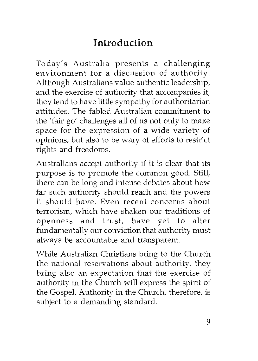# **Introduction**

Today's Australia presents a challenging environment for a discussion of authority. Although Australians value authentic leadership, and the exercise of authority that accompanies it, they tend to have little sympathy for authoritarian attitudes. The fabled Australian commitment to the 'fair go' challenges all of us not only to make space for the expression of a wide variety of opinions, but also to be wary of efforts to restrict rights and freedoms.

Australians accept authority if it is clear that its purpose is to promote the common good. Still, there can be long and intense debates about how far such authority should reach and the powers it should have. Even recent concerns about terrorism, which have shaken our traditions of openness and trust, have yet to alter fundamentally our conviction that authority must always be accountable and transparent.

While Australian Christians bring to the Church the national reservations about authority, they bring also an expectation that the exercise of authority in the Church will express the spirit of the Gospel. Authority in the Church, therefore, is subject to a demanding standard.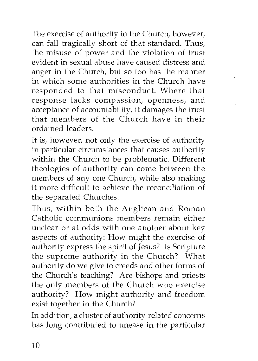The exercise of authority in the Church, however, can fall tragically short of that standard. Thus, the misuse of power and the violation of trust evident in sexual abuse have caused distress and anger in the Church, but so too has the manner in which some authorities in the Church have responded to that misconduct. Where that response lacks compassion, openness, and acceptance of accountability, it damages the trust that members of the Church have in their ordained leaders.

It is, however, not only the exercise of authority in particular circumstances that causes authority within the Church to be problematic. Different theologies of authority can come between the members of any one Church, while also making it more difficult to achieve the reconciliation of the separated Churches.

Thus, within both the Anglican and Roman Catholic communions members remain either unclear or at odds with one another about key aspects of authority: How might the exercise of authority express the spirit of Jesus? Is Scripture the supreme authority in the Church? What authority do we give to creeds and other forms of the Church's teaching? Are bishops and priests the only members of the Church who exercise authority? How might authority and freedom exist together in the Church?

In addition, a cluster of authority-related concerns has long contributed to unease in the particular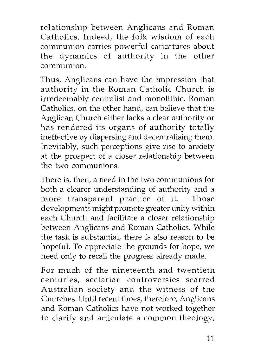relationship between Anglicans and Roman Catholics. Indeed, the folk wisdom of each communion carries powerful caricatures about the dynamics of authority in the other communion.

Thus, Anglicans can have the impression that authority in the Roman Catholic Church is irredeemably centralist and monolithic. Roman Catholics, on the other hand, can believe that the Anglican Church either lacks a clear authority or has rendered its organs of authority totally ineffective by dispersing and decentralising them. Inevitably, such perceptions give rise to anxiety at the prospect of a closer relationship between the two communions.

There is, then, a need in the two communions for both a clearer understanding of authority and a more transparent practice of it. Those developments might promote greater unity within each Church and facilitate a closer relationship between Anglicans and Roman Catholics. While the task is substantial, there is also reason to be hopeful. To appreciate the grounds for hope, we need only to recall the progress already made.

For much of the nineteenth and twentieth centuries, sectarian controversies scarred Australian society and the witness of the Churches. Until recent times, therefore, Anglicans and Roman Catholics have not worked together to clarify and articulate a common theology,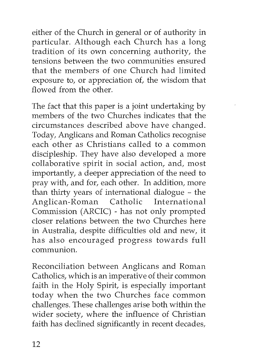either of the Church in general or of authority in particular. Although each Church has a long tradition of its own concerning authority, the tensions between the two communities ensured that the members of one Church had limited exposure to, or appreciation of, the wisdom that flowed from the other.

The fact that this paper is a joint undertaking by members of the two Churches indicates that the circumstances described above have changed. Today, Anglicans and Roman Catholics recognise each other as Christians called to a common discipleship. They have also developed a more collaborative spirit in social action, and, most importantly, a deeper appreciation of the need to pray with, and for, each other. In addition, more than thirty years of international dialogue - the Anglican-Roman Catholic International Commission (ARCIC) - has not only prompted closer relations between the two Churches here in Australia, despite difficulties old and new, it has also encouraged progress towards full communion.

Reconciliation between Anglicans and Roman Catholics, which is an imperative of their common faith in the Holy Spirit, is especially important today when the two Churches face common challenges. These challenges arise both within the wider society, where the influence of Christian faith has declined significantly in recent decades,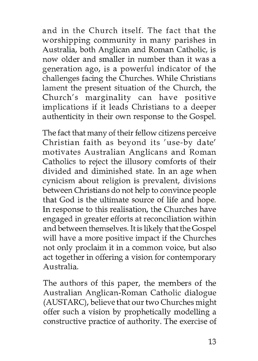and in the Church itself. The fact that the worshipping community in many parishes in Australia, both Anglican and Roman Catholic, is now older and smaller in number than it was a generation ago, is a powerful indicator of the challenges facing the Churches. While Christians lament the present situation of the Church, the Church's marginality can have positive implications if it leads Christians to a deeper authenticity in their own response to the Gospel.

The fact that many of their fellow citizens perceive Christian faith as beyond its 'use-by date' motivates Australian Anglicans and Roman Catholics to reject the illusory comforts of their divided and diminished state. In an age when cynicism about religion is prevalent, divisions between Christians do not help to convince people that God is the ultimate source of life and hope. In response to this realisation, the Churches have engaged in greater efforts at reconciliation within and between themselves. It is likely that the Gospel will have a more positive impact if the Churches not only proclaim it in a common voice, but also act together in offering a vision for contemporary Australia.

The authors of this paper, the members of the Australian Anglican-Roman Catholic dialogue (AUSTARC), believe that our two Churches might offer such a vision by prophetically modelling a constructive practice of authority. The exercise of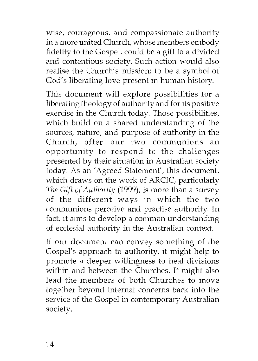wise, courageous, and compassionate authority in a more united Church, whose members embody fidelity to the Gospel, could be a gift to a divided and contentious society. Such action would also realise the Church's mission: to be a symbol of God's liberating love present in human history.

This document will explore possibilities for a liberating theology of authority and for its positive exercise in the Church today. Those possibilities, which build on a shared understanding of the sources, nature, and purpose of authority in the Church, offer our two communions an opportunity to respond to the challenges presented by their situation in Australian society today. As an 'Agreed Statement', this document, which draws on the work of ARCIC, particularly *The Gift of Authority* (1999), is more than a survey of the different ways in which the two communions perceive and practise authority. In fact, it aims to develop a common understanding of ecclesial authority in the Australian context.

If our document can convey something of the Gospel's approach to authority, it might help to promote a deeper willingness to heal divisions within and between the Churches. It might also lead the members of both Churches to move together beyond internal concerns back into the service of the Gospel in contemporary Australian society.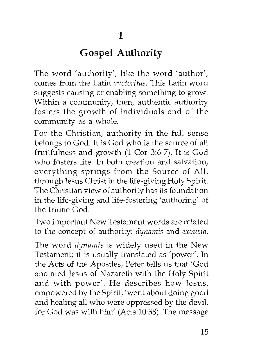## Gospel Authority

The word 'authority', like the word 'author', comes from the Latin *auctoritas.* This Latin word suggests causing or enabling something to grow. Within a community, then, authentic authority fosters the growth of individuals and of the community as a whole.

For the Christian, authority in the full sense belongs to God. It is God who is the source of all fruitfulness and growth (1 Cor 3:6-7). It is God who fosters life. In both creation and salvation, everything springs from the Source of All, through Jesus Christ in the life-giving Holy Spirit. The Christian view of authority has its foundation in the life-giving and life-fostering 'authoring' of the triune God.

Two important New Testament words are related to the concept of authority: *dynamis* and *exousia.* 

The word *dynamis* is widely used in the New Testament; it is usually translated as 'power'. In the Acts of the Apostles, Peter tells us that 'God anointed Jesus of Nazareth with the Holy Spirit and with power'. He describes how Jesus, empowered by the Spirit, 'went about doing good and healing all who were oppressed by the devil, for God was with him' (Acts 10:38). The message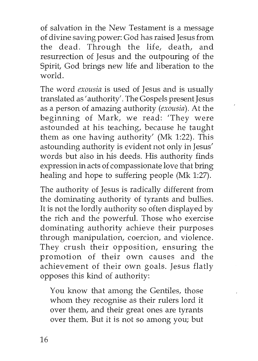of salvation in the New Testament is a message of divine saving power: God has raised Jesus from the dead. Through the life, death, and resurrection of Jesus and the outpouring of the Spirit, God brings new life and liberation to the world.

The word *exousia* is used of Jesus and is usually translated as 'authority'. The Gospels present Jesus as a person of amazing authority *(exousia).* At the beginning of Mark, we read: 'They were astounded at his teaching, because he taught them as one having authority' (Mk 1:22). This astounding authority is evident not only in Jesus' words but also in his deeds. His authority finds expression in acts of compassionate love that bring healing and hope to suffering people (Mk 1:27).

The authority of Jesus is radically different from the dominating authority of tyrants and bullies. It is not the lordly authority so often displayed by the rich and the powerful. Those who exercise dominating authority achieve their purposes through manipulation, coercion, and violence. They crush their opposition, ensuring the promotion of their own causes and the achievement of their own goals. Jesus flatly opposes this kind of authority:

You know that among the Gentiles, those whom they recognise as their rulers lord it over them, and their great ones are tyrants over them. But it is not so among you; but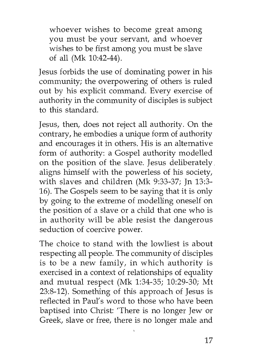whoever wishes to become great among you must be your servant, and whoever wishes to be first among you must be slave of all (Mk 10:42-44).

Jesus forbids the use of dominating power in his community; the overpowering of others is ruled out by his explicit command. Every exercise of authority in the community of disciples is subject to this standard.

Jesus, then, does not reject all authority. On the contrary, he embodies a unique form of authority and encourages it in others. His is an alternative form of authority: a Gospel authority modelled on the position of the slave. Jesus deliberately aligns himself with the powerless of his society, with slaves and children (Mk 9:33-37; Jn 13:3-16). The Gospels seem to be saying that it is only by going to the extreme of modelling oneself on the position of a slave or a child that one who is in authority will be able resist the dangerous seduction of coercive power.

The choice to stand with the lowliest is about respecting all people. The community of disciples is to be a new family, in which authority is exercised in a context of relationships of equality and mutual respect (Mk 1:34-35; 10:29-30; Mt 23:8-12). Something of this approach of Jesus is reflected in Paul's word to those who have been baptised into Christ: 'There is no longer Jew or Greek, slave or free, there is no longer male and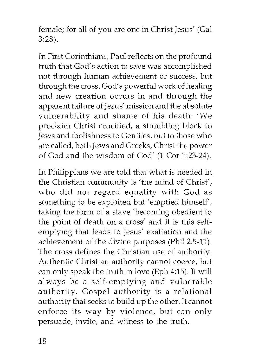female; for all of you are one in Christ Jesus' (Gal 3:28).

In First Corinthians, Paul reflects on the profound truth that God's action to save was accomplished not through human achievement or success, but through the cross. God's powerful work of healing and new creation occurs in and through the apparent failure of Jesus' mission and the absolute vulnerability and shame of his death: 'We proclaim Christ crucified, a stumbling block to Jews and foolishness to Gentiles, but to those who are called, both Jews and Greeks, Christ the power of God and the wisdom of God' (1 Cor 1:23-24).

In Philippians we are told that what is needed in the Christian community is 'the mind of Christ', who did not regard equality with God as something to be exploited but 'emptied himself', taking the form of a slave 'becoming obedient to the point of death on a cross' and it is this selfemptying that leads to Jesus' exaltation and the achievement of the divine purposes (Phil 2:5-11). The cross defines the Christian use of authority. Authentic Christian authority cannot coerce, but can only speak the truth in love (Eph 4:15). It will always be a self-emptying and vulnerable authority. Gospel authority is a relational authority that seeks to build up the other. It cannot enforce its way by violence, but can only persuade, invite, and witness to the truth.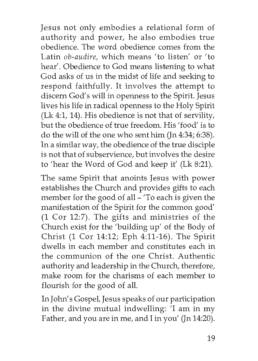Jesus not only embodies a relational form of authority and power, he also embodies true obedience. The word obedience comes from the Latin *ob-audire*, which means 'to listen' or 'to hear'. Obedience to God means listening to what God asks of us in the midst of life and seeking to respond faithfully. It involves the attempt to discern God's will in openness to the Spirit. Jesus lives his life in radical openness to the Holy Spirit (Lk 4:1, 14). His obedience is not that of servility, but the obedience of true freedom. His 'food' is to do the will of the one who sent him (Jn 4:34; 6:38). In a similar way, the obedience of the true disciple is not that of subservience, but involves the desire to 'hear the Word of God and keep it' (Lk 8:21).

The same Spirit that anoints Jesus with power establishes the Church and provides gifts to each member for the good of all - 'To each is given the manifestation of the Spirit for the common good' (1 Cor 12:7). The gifts and ministries of the Church exist for the 'building up' of the Body of Christ (1 Cor 14:12; Eph 4:11-16). The Spirit dwells in each member and constitutes each in the communion of the one Christ. Authentic authority and leadership in the Church, therefore, make room for the charisms of each member to flourish for the good of all.

In John's Gospel, Jesus speaks of our participation in the divine mutual indwelling: 'I am in my Father, and you are in me, and I in you' (Jn 14:20).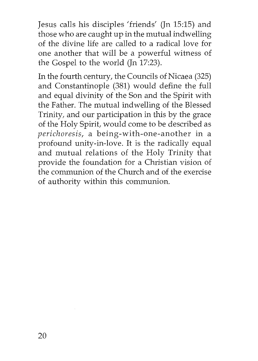Jesus calls his disciples 'friends' (Jn 15:15) and those who are caught up in the mutual indwelling of the divine life are called to a radical love for one another that will be a powerful witness of the Gospel to the world (Jn 17:23).

In the fourth century, the Councils of Nicaea (325) and Constantinople (381) would define the full and equal divinity of the Son and the Spirit with the Father. The mutual indwelling of the Blessed Trinity, and our participation in this by the grace of the Holy Spirit, would come to be described as *perichoresis,* a being-with-one-another in a profound unity-in-love. It is the radically equal and mutual relations of the Holy Trinity that provide the foundation for a Christian vision of the communion of the Church and of the exercise of authority within this communion.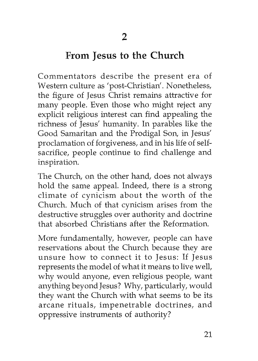#### **From Jesus to the Church**

Commentators describe the present era of Western culture as 'post-Christian'. Nonetheless, the figure of Jesus Christ remains attractive for many people. Even those who might reject any explicit religious interest can find appealing the richness of Jesus' humanity. In parables like the Good Samaritan and the Prodigal Son, in Jesus' proclamation of forgiveness, and in his life of selfsacrifice, people continue to find challenge and inspiration.

The Church, on the other hand, does not always hold the same appeal. Indeed, there is a strong climate of cynicism about the worth of the Church. Much of that cynicism arises from the destructive struggles over authority and doctrine that absorbed Christians after the Reformation.

More fundamentally, however, people can have reservations about the Church because they are unsure how to connect it to Jesus: If Jesus represents the model of what it means to live well, why would anyone, even religious people, want anything beyond Jesus? Why, particularly, would they want the Church with what seems to be its arcane rituals, impenetrable doctrines, and oppressive instruments of authority?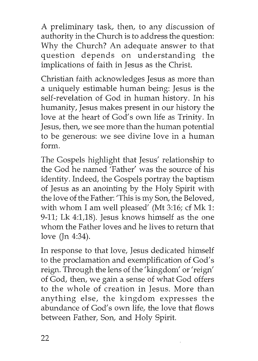A preliminary task, then, to any discussion of authority in the Church is to address the question: Why the Church? An adequate answer to that question depends on understanding the implications of faith in Jesus as the Christ.

Christian faith acknowledges Jesus as more than a uniquely estimable human being: Jesus is the self-revelation of God in human history. In his humanity, Jesus makes present in our history the love at the heart of God's own life as Trinity. In Jesus, then, we see more than the human potential to be generous: we see divine love in a human form.

The Gospels highlight that Jesus' relationship to the God he named 'Father' was the source of his identity. Indeed, the Gospels portray the baptism of Jesus as an anointing by the Holy Spirit with the love of the Father: 'This is my Son, the Beloved, with whom I am well pleased' (Mt 3:16; cf Mk 1: 9-11; Lk 4:1,18). Jesus knows himself as the one whom the Father loves and he lives to return that love (Jn 4:34).

In response to that love, Jesus dedicated himself to the proclamation and exemplification of God's reign. Through the lens of the 'kingdom' or 'reign' of God, then, we gain a sense of what God offers to the whole of creation in Jesus. More than anything else, the kingdom expresses the abundance of God's own life, the love that flows between Father, Son, and Holy Spirit.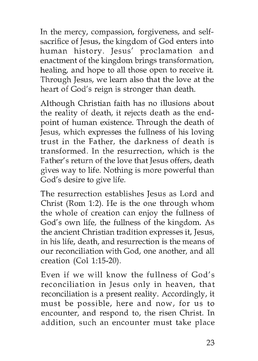In the mercy, compassion, forgiveness, and selfsacrifice of Jesus, the kingdom of God enters into human history. Jesus' proclamation and enactment of the kingdom brings transformation, healing, and hope to all those open to receive it. Through Jesus, we learn also that the love at the heart of God's reign is stronger than death.

Although Christian faith has no illusions about the reality of death, it rejects death as the endpoint of human existence. Through the death of Jesus, which expresses the fullness of his loving trust in the Father, the darkness of death is transformed. In the resurrection, which is the Father's return of the love that Jesus offers, death gives way to life. Nothing is more powerful than God's desire to give life.

The resurrection establishes Jesus as Lord and Christ (Rom 1:2). He is the one through whom the whole of creation can enjoy the fullness of God's own life, the fullness of the kingdom. As the ancient Christian tradition expresses it, Jesus, in his life, death, and resurrection is the means of our reconciliation with God, one another, and all creation (Col 1:15-20).

Even if we will know the fullness of God's reconciliation in Jesus only in heaven, that reconciliation is a present reality. Accordingly, it must be possible, here and now, for us to encounter, and respond to, the risen Christ. In addition, such an encounter must take place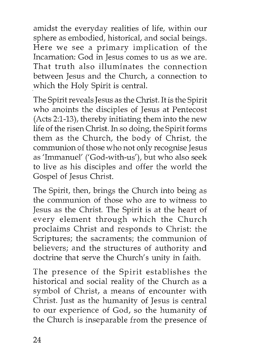amidst the everyday realities of life, within our sphere as embodied, historical, and social beings. Here we see a primary implication of the Incarnation: God in Jesus comes to us as we are. That truth also illuminates the connection between Jesus and the Church, a connection to which the Holy Spirit is central.

The Spirit reveals Jesus as the Christ. It is the Spirit who anoints the disciples of Jesus at Pentecost (Acts 2:1-13), thereby initiating them into the new life of the risen Christ. In so doing, the Spirit forms them as the Church, the body of Christ, the communion of those who not only recognise Jesus as 'Immanuel' (`God-with-us'), but who also seek to live as his disciples and offer the world the Gospel of Jesus Christ.

The Spirit, then, brings the Church into being as the communion of those who are to witness to Jesus as the Christ. The Spirit is at the heart of every element through which the Church proclaims Christ and responds to Christ: the Scriptures; the sacraments; the communion of believers; and the structures of authority and doctrine that serve the Church's unity in faith.

The presence of the Spirit establishes the historical and social reality of the Church as a symbol of Christ, a means of encounter with Christ. Just as the humanity of Jesus is central to our experience of God, so the humanity of the Church is inseparable from the presence of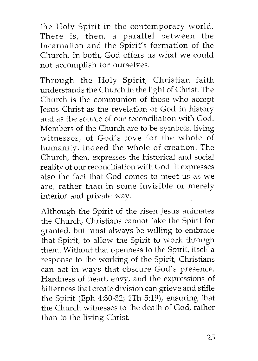the Holy Spirit in the contemporary world. There is, then, a parallel between the Incarnation and the Spirit's formation of the Church. In both, God offers us what we could not accomplish for ourselves.

Through the Holy Spirit, Christian faith understands the Church in the light of Christ. The Church is the communion of those who accept Jesus Christ as the revelation of God in history and as the source of our reconciliation with God. Members of the Church are to be symbols, living witnesses, of God's love for the whole of humanity, indeed the whole of creation. The Church, then, expresses the historical and social reality of our reconciliation with God. It expresses also the fact that God comes to meet us as we are, rather than in some invisible or merely interior and private way.

Although the Spirit of the risen Jesus animates the Church, Christians cannot take the Spirit for granted, but must always be willing to embrace that Spirit, to allow the Spirit to work through them. Without that openness to the Spirit, itself a response to the working of the Spirit, Christians can act in ways that obscure God's presence. Hardness of heart, envy, and the expressions of bitterness that create division can grieve and stifle the Spirit (Eph 4:30-32; 1Th 5:19), ensuring that the Church witnesses to the death of God, rather than to the living Christ.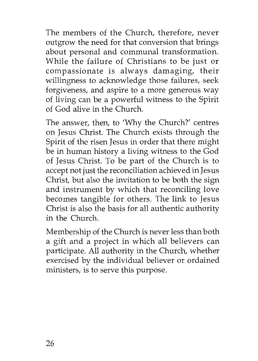The members of the Church, therefore, never outgrow the need for that conversion that brings about personal and communal transformation. While the failure of Christians to be just or compassionate is always damaging, their willingness to acknowledge those failures, seek forgiveness, and aspire to a more generous way of living can be a powerful witness to the Spirit of God alive in the Church.

The answer, then, to 'Why the Church?' centres on Jesus Christ. The Church exists through the Spirit of the risen Jesus in order that there might be in human history a living witness to the God of Jesus Christ. To be part of the Church is to accept not just the reconciliation achieved in Jesus Christ, but also the invitation to be both the sign and instrument by which that reconciling love becomes tangible for others. The link to Jesus Christ is also the basis for all authentic authority in the Church.

Membership of the Church is never less than both a gift and a project in which all believers can participate. All authority in the Church, whether exercised by the individual believer or ordained ministers, is to serve this purpose.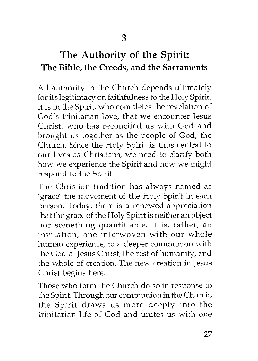## The Authority of the Spirit: The Bible, the Creeds, and the Sacraments

All authority in the Church depends ultimately for its legitimacy on faithfulness to the Holy Spirit. It is in the Spirit, who completes the revelation of God's trinitarian love, that we encounter Jesus Christ, who has reconciled us with God and brought us together as the people of God, the Church. Since the Holy Spirit is thus central to our lives as Christians, we need to clarify both how we experience the Spirit and how we might respond to the Spirit.

The Christian tradition has always named as 'grace' the movement of the Holy Spirit in each person. Today, there is a renewed appreciation that the grace of the Holy Spirit is neither an object nor something quantifiable. It is, rather, an invitation, one interwoven with our whole human experience, to a deeper communion with the God of Jesus Christ, the rest of humanity, and the whole of creation. The new creation in Jesus Christ begins here.

Those who form the Church do so in response to the Spirit. Through our communion in the Church, the Spirit draws us more deeply into the trinitarian life of God and unites us with one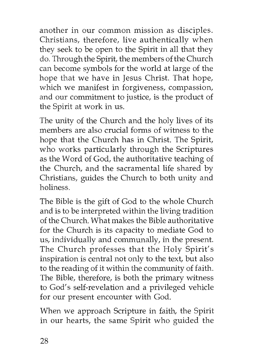another in our common mission as disciples. Christians, therefore, live authentically when they seek to be open to the Spirit in all that they do. Through the Spirit, the members of the Church can become symbols for the world at large of the hope that we have in Jesus Christ. That hope, which we manifest in forgiveness, compassion, and our commitment to justice, is the product of the Spirit at work in us.

The unity of the Church and the holy lives of its members are also crucial forms of witness to the hope that the Church has in Christ. The Spirit, who works particularly through the Scriptures as the Word of God, the authoritative teaching of the Church, and the sacramental life shared by Christians, guides the Church to both unity and holiness.

The Bible is the gift of God to the whole Church and is to be interpreted within the living tradition of the Church. What makes the Bible authoritative for the Church is its capacity to mediate God to us, individually and communally, in the present. The Church professes that the Holy Spirit's inspiration is central not only to the text, but also to the reading of it within the community of faith. The Bible, therefore, is both the primary witness to God's self-revelation and a privileged vehicle for our present encounter with God.

When we approach Scripture in faith, the Spirit in our hearts, the same Spirit who guided the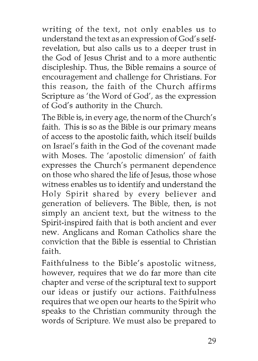writing of the text, not only enables us to understand the text as an expression of God's selfrevelation, but also calls us to a deeper trust in the God of Jesus Christ and to a more authentic discipleship. Thus, the Bible remains a source of encouragement and challenge for Christians. For this reason, the faith of the Church affirms Scripture as 'the Word of God', as the expression of God's authority in the Church.

The Bible is, in every age, the norm of the Church's faith. This is so as the Bible is our primary means of access to the apostolic faith, which itself builds on Israel's faith in the God of the covenant made with Moses. The 'apostolic dimension' of faith expresses the Church's permanent dependence on those who shared the life of Jesus, those whose witness enables us to identify and understand the Holy Spirit shared by every believer and generation of believers. The Bible, then, is not simply an ancient text, but the witness to the Spirit-inspired faith that is both ancient and ever new. Anglicans and Roman Catholics share the conviction that the Bible is essential to Christian faith.

Faithfulness to the Bible's apostolic witness, however, requires that we do far more than cite chapter and verse of the scriptural text to support our ideas or justify our actions. Faithfulness requires that we open our hearts to the Spirit who speaks to the Christian community through the words of Scripture. We must also be prepared to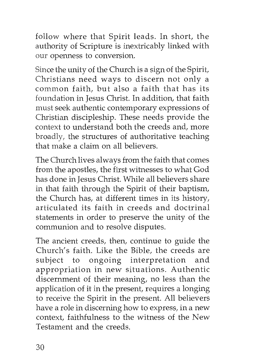follow where that Spirit leads. In short, the authority of Scripture is inextricably linked with our openness to conversion.

Since the unity of the Church is a sign of the Spirit, Christians need ways to discern not only a common faith, but also a faith that has its foundation in Jesus Christ. In addition, that faith must seek authentic contemporary expressions of Christian discipleship. These needs provide the context to understand both the creeds and, more broadly, the structures of authoritative teaching that make a claim on all believers.

The Church lives always from the faith that comes from the apostles, the first witnesses to what God has done in Jesus Christ. While all believers share in that faith through the Spirit of their baptism, the Church has, at different times in its history, articulated its faith in creeds and doctrinal statements in order to preserve the unity of the communion and to resolve disputes.

The ancient creeds, then, continue to guide the Church's faith. Like the Bible, the creeds are subject to ongoing interpretation and appropriation in new situations. Authentic discernment of their meaning, no less than the application of it in the present, requires a longing to receive the Spirit in the present. All believers have a role in discerning how to express, in a new context, faithfulness to the witness of the New Testament and the creeds.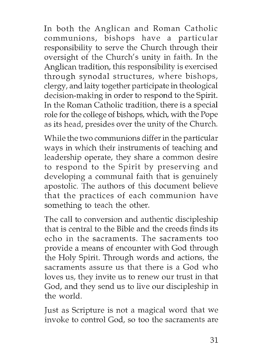In both the Anglican and Roman Catholic communions, bishops have a particular responsibility to serve the Church through their oversight of the Church's unity in faith. In the Anglican tradition, this responsibility is exercised through synodal structures, where bishops, clergy, and laity together participate in theological decision-making in order to respond to the Spirit. In the Roman Catholic tradition, there is a special role for the college of bishops, which, with the Pope as its head, presides over the unity of the Church.

While the two communions differ in the particular ways in which their instruments of teaching and leadership operate, they share a common desire to respond to the Spirit by preserving and developing a communal faith that is genuinely apostolic. The authors of this document believe that the practices of each communion have something to teach the other.

The call to conversion and authentic discipleship that is central to the Bible and the creeds finds its echo in the sacraments. The sacraments too provide a means of encounter with God through the Holy Spirit. Through words and actions, the sacraments assure us that there is a God who loves us, they invite us to renew our trust in that God, and they send us to live our discipleship in the world.

Just as Scripture is not a magical word that we invoke to control God, so too the sacraments are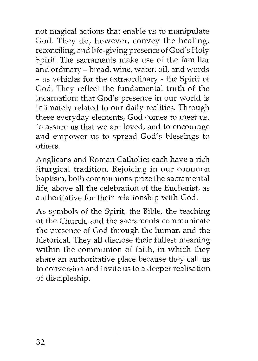not magical actions that enable us to manipulate God. They do, however, convey the healing, reconciling, and life-giving presence of God's Holy Spirit. The sacraments make use of the familiar and ordinary - bread, wine, water, oil, and words - as vehicles for the extraordinary - the Spirit of God. They reflect the fundamental truth of the Incarnation: that God's presence in our world is intimately related to our daily realities. Through these everyday elements, God comes to meet us, to assure us that we are loved, and to encourage and empower us to spread God's blessings to others.

Anglicans and Roman Catholics each have a rich liturgical tradition. Rejoicing in our common baptism, both communions prize the sacramental life, above all the celebration of the Eucharist, as authoritative for their relationship with God.

As symbols of the Spirit, the Bible, the teaching of the Church, and the sacraments communicate the presence of God through the human and the historical. They all disclose their fullest meaning within the communion of faith, in which they share an authoritative place because they call us to conversion and invite us to a deeper realisation of discipleship.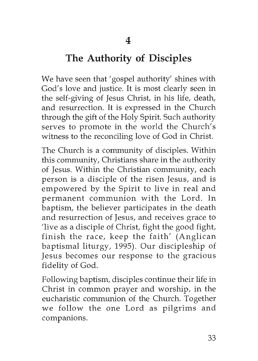#### The Authority of Disciples

We have seen that 'gospel authority' shines with God's love and justice. It is most clearly seen in the self-giving of Jesus Christ, in his life, death, and resurrection. It is expressed in the Church through the gift of the Holy Spirit. Such authority serves to promote in the world the Church's witness to the reconciling love of God in Christ.

The Church is a community of disciples. Within this community, Christians share in the authority of Jesus. Within the Christian community, each person is a disciple of the risen Jesus, and is empowered by the Spirit to live in real and permanent communion with the Lord. In baptism, the believer participates in the death and resurrection of Jesus, and receives grace to 'live as a disciple of Christ, fight the good fight, finish the race, keep the faith' (Anglican baptismal liturgy, 1995). Our discipleship of Jesus becomes our response to the gracious fidelity of God.

Following baptism, disciples continue their life in Christ in common prayer and worship, in the eucharistic communion of the Church. Together we follow the one Lord as pilgrims and companions.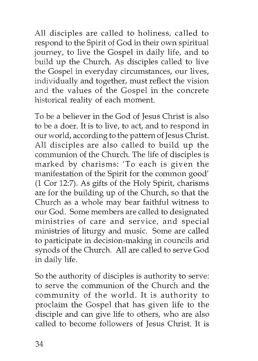All disciples are called to holiness, called to respond to the Spirit of God in their own spiritual journey, to live the Gospel in daily life, and to build up the Church. As disciples called to live the Gospel in everyday circumstances, our lives, individually and together, must reflect the vision and the values of the Gospel in the concrete historical reality of each moment.

To be a believer in the God of Jesus Christ is also to be a doer. It is to live, to act, and to respond in our world, according to the pattern of Jesus Christ. All disciples are also called to build up the communion of the Church. The life of disciples is marked by charisms: 'To each is given the manifestation of the Spirit for the common good' (1 Cor 12:7). As gifts of the Holy Spirit, charisms are for the building up of the Church, so that the Church as a whole may bear faithful witness to our God. Some members are called to designated ministries of care and service, and special ministries of liturgy and music. Some are called to participate in decision-making in councils and synods of the Church. All are called to serve God in daily life.

So the authority of disciples is authority to serve: to serve the communion of the Church and the community of the world. It is authority to proclaim the Gospel that has given life to the disciple and can give life to others, who are also called to become followers of Jesus Christ. It is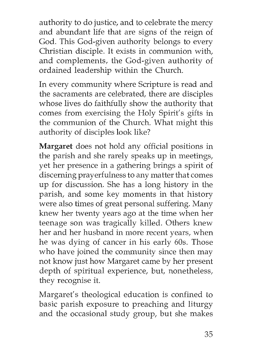authority to do justice, and to celebrate the mercy and abundant life that are signs of the reign of God. This God-given authority belongs to every Christian disciple. It exists in communion with, and complements, the God-given authority of ordained leadership within the Church.

In every community where Scripture is read and the sacraments are celebrated, there are disciples whose lives do faithfully show the authority that comes from exercising the Holy Spirit's gifts in the communion of the Church. What might this authority of disciples look like?

Margaret does not hold any official positions in the parish and she rarely speaks up in meetings, yet her presence in a gathering brings a spirit of discerning prayerfulness to any matter that comes up for discussion. She has a long history in the parish, and some key moments in that history were also times of great personal suffering. Many knew her twenty years ago at the time when her teenage son was tragically killed. Others knew her and her husband in more recent years, when he was dying of cancer in his early 60s. Those who have joined the community since then may not know just how Margaret came by her present depth of spiritual experience, but, nonetheless, they recognise it.

Margaret's theological education is confined to basic parish exposure to preaching and liturgy and the occasional study group, but she makes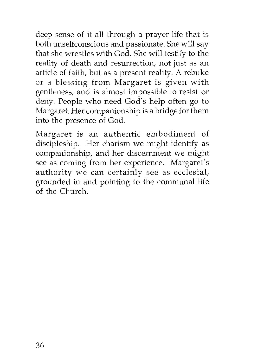deep sense of it all through a prayer life that is both unselfconscious and passionate. She will say that she wrestles with God. She will testify to the reality of death and resurrection, not just as an article of faith, but as a present reality. A rebuke or a blessing from Margaret is given with gentleness, and is almost impossible to resist or deny. People who need God's help often go to Margaret. Her companionship is a bridge for them into the presence of God.

Margaret is an authentic embodiment of discipleship. Her charism we might identify as companionship, and her discernment we might see as coming from her experience. Margaret's authority we can certainly see as ecclesial, grounded in and pointing to the communal life of the Church.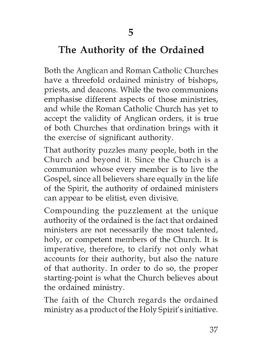#### The Authority of the Ordained

Both the Anglican and Roman Catholic Churches have a threefold ordained ministry of bishops, priests, and deacons. While the two communions emphasise different aspects of those ministries, and while the Roman Catholic Church has yet to accept the validity of Anglican orders, it is true of both Churches that ordination brings with it the exercise of significant authority.

That authority puzzles many people, both in the Church and beyond it. Since the Church is a communion whose every member is to live the Gospel, since all believers share equally in the life of the Spirit, the authority of ordained ministers can appear to be elitist, even divisive.

Compounding the puzzlement at the unique authority of the ordained is the fact that ordained ministers are not necessarily the most talented, holy, or competent members of the Church. It is imperative, therefore, to clarify not only what accounts for their authority, but also the nature of that authority. In order to do so, the proper starting-point is what the Church believes about the ordained ministry.

The faith of the Church regards the ordained ministry as a product of the Holy Spirit's initiative.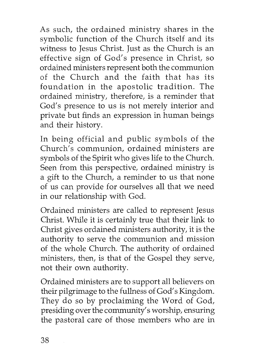As such, the ordained ministry shares in the symbolic function of the Church itself and its witness to Jesus Christ. Just as the Church is an effective sign of God's presence in Christ, so ordained ministers represent both the communion of the Church and the faith that has its foundation in the apostolic tradition. The ordained ministry, therefore, is a reminder that God's presence to us is not merely interior and private but finds an expression in human beings and their history.

In being official and public symbols of the Church's communion, ordained ministers are symbols of the Spirit who gives life to the Church. Seen from this perspective, ordained ministry is a gift to the Church, a reminder to us that none of us can provide for ourselves all that we need in our relationship with God.

Ordained ministers are called to represent Jesus Christ. While it is certainly true that their link to Christ gives ordained ministers authority, it is the authority to serve the communion and mission of the whole Church. The authority of ordained ministers, then, is that of the Gospel they serve, not their own authority.

Ordained ministers are to support all believers on their pilgrimage to the fullness of God's Kingdom. They do so by proclaiming the Word of God, presiding over the community's worship, ensuring the pastoral care of those members who are in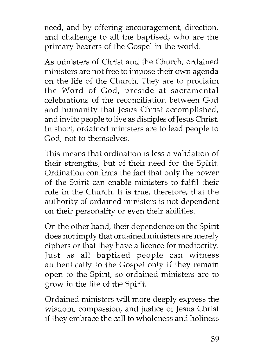need, and by offering encouragement, direction, and challenge to all the baptised, who are the primary bearers of the Gospel in the world.

As ministers of Christ and the Church, ordained ministers are not free to impose their own agenda on the life of the Church. They are to proclaim the Word of God, preside at sacramental celebrations of the reconciliation between God and humanity that Jesus Christ accomplished, and invite people to live as disciples of Jesus Christ. In short, ordained ministers are to lead people to God, not to themselves.

This means that ordination is less a validation of their strengths, but of their need for the Spirit. Ordination confirms the fact that only the power of the Spirit can enable ministers to fulfil their role in the Church. It is true, therefore, that the authority of ordained ministers is not dependent on their personality or even their abilities.

On the other hand, their dependence on the Spirit does not imply that ordained ministers are merely ciphers or that they have a licence for mediocrity. Just as all baptised people can witness authentically to the Gospel only if they remain open to the Spirit, so ordained ministers are to grow in the life of the Spirit.

Ordained ministers will more deeply express the wisdom, compassion, and justice of Jesus Christ if they embrace the call to wholeness and holiness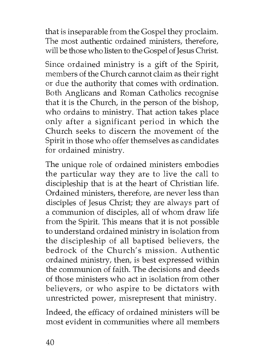that is inseparable from the Gospel they proclaim. The most authentic ordained ministers, therefore, will be those who listen to the Gospel of Jesus Christ.

Since ordained ministry is a gift of the Spirit, members of the Church cannot claim as their right or due the authority that comes with ordination. Both Anglicans and Roman Catholics recognise that it is the Church, in the person of the bishop, who ordains to ministry. That action takes place only after a significant period in which the Church seeks to discern the movement of the Spirit in those who offer themselves as candidates for ordained ministry.

The unique role of ordained ministers embodies the particular way they are to live the call to discipleship that is at the heart of Christian life. Ordained ministers, therefore, are never less than disciples of Jesus Christ; they are always part of a communion of disciples, all of whom draw life from the Spirit. This means that it is not possible to understand ordained ministry in isolation from the discipleship of all baptised believers, the bedrock of the Church's mission. Authentic ordained ministry, then, is best expressed within the communion of faith. The decisions and deeds of those ministers who act in isolation from other believers, or who aspire to be dictators with unrestricted power, misrepresent that ministry.

Indeed, the efficacy of ordained ministers will be most evident in communities where all members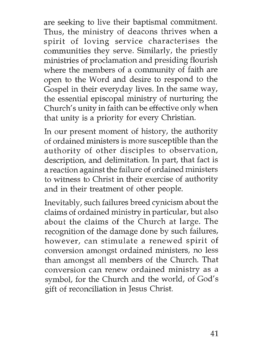are seeking to live their baptismal commitment. Thus, the ministry of deacons thrives when a spirit of loving service characterises the communities they serve. Similarly, the priestly ministries of proclamation and presiding flourish where the members of a community of faith are open to the Word and desire to respond to the Gospel in their everyday lives. In the same way, the essential episcopal ministry of nurturing the Church's unity in faith can be effective only when that unity is a priority for every Christian.

In our present moment of history, the authority of ordained ministers is more susceptible than the authority of other disciples to observation, description, and delimitation. In part, that fact is a reaction against the failure of ordained ministers to witness to Christ in their exercise of authority and in their treatment of other people.

Inevitably, such failures breed cynicism about the claims of ordained ministry in particular, but also about the claims of the Church at large. The recognition of the damage done by such failures, however, can stimulate a renewed spirit of conversion amongst ordained ministers, no less than amongst all members of the Church. That conversion can renew ordained ministry as a symbol, for the Church and the world, of God's gift of reconciliation in Jesus Christ.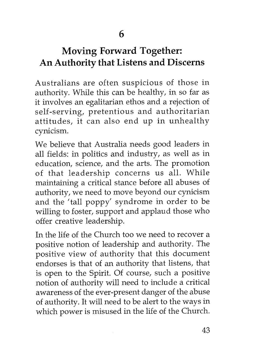### **Moving Forward Together: An Authority that Listens and Discerns**

Australians are often suspicious of those in authority. While this can be healthy, in so far as it involves an egalitarian ethos and a rejection of self-serving, pretentious and authoritarian attitudes, it can also end up in unhealthy cynicism.

We believe that Australia needs good leaders in all fields: in politics and industry, as well as in education, science, and the arts. The promotion of that leadership concerns us all. While maintaining a critical stance before all abuses of authority, we need to move beyond our cynicism and the 'tall poppy' syndrome in order to be willing to foster, support and applaud those who offer creative leadership.

In the life of the Church too we need to recover a positive notion of leadership and authority. The positive view of authority that this document endorses is that of an authority that listens, that is open to the Spirit. Of course, such a positive notion of authority will need to include a critical awareness of the ever-present danger of the abuse of authority. It will need to be alert to the ways in which power is misused in the life of the Church.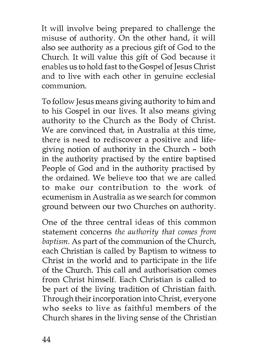It will involve being prepared to challenge the misuse of authority. On the other hand, it will also see authority as a precious gift of God to the Church. It will value this gift of God because it enables us to hold fast to the Gospel of Jesus Christ and to live with each other in genuine ecclesial communion.

To follow Jesus means giving authority to him and to his Gospel in our lives. It also means giving authority to the Church as the Body of Christ. We are convinced that, in Australia at this time, there is need to rediscover a positive and lifegiving notion of authority in the Church - both in the authority practised by the entire baptised People of God and in the authority practised by the ordained. We believe too that we are called to make our contribution to the work of ecumenism in Australia as we search for common ground between our two Churches on authority.

One of the three central ideas of this common statement concerns *the authority that comes from baptism.* As part of the communion of the Church, each Christian is called by Baptism to witness to Christ in the world and to participate in the life of the Church. This call and authorisation comes from Christ himself. Each Christian is called to be part of the living tradition of Christian faith. Through their incorporation into Christ, everyone who seeks to live as faithful members of the Church shares in the living sense of the Christian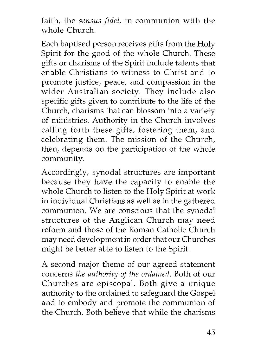faith, the *sensus fidei,* in communion with the whole Church.

Each baptised person receives gifts from the Holy Spirit for the good of the whole Church. These gifts or charisms of the Spirit include talents that enable Christians to witness to Christ and to promote justice, peace, and compassion in the wider Australian society. They include also specific gifts given to contribute to the life of the Church, charisms that can blossom into a variety of ministries. Authority in the Church involves calling forth these gifts, fostering them, and celebrating them. The mission of the Church, then, depends on the participation of the whole community.

Accordingly, synodal structures are important because they have the capacity to enable the whole Church to listen to the Holy Spirit at work in individual Christians as well as in the gathered communion. We are conscious that the synodal structures of the Anglican Church may need reform and those of the Roman Catholic Church may need development in order that our Churches might be better able to listen to the Spirit.

A second major theme of our agreed statement concerns *the authority of the ordained.* Both of our Churches are episcopal. Both give a unique authority to the ordained to safeguard the Gospel and to embody and promote the communion of the Church. Both believe that while the charisms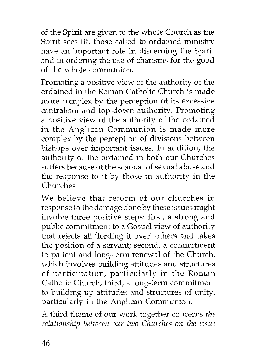of the Spirit are given to the whole Church as the Spirit sees fit, those called to ordained ministry have an important role in discerning the Spirit and in ordering the use of charisms for the good of the whole communion.

Promoting a positive view of the authority of the ordained in the Roman Catholic Church is made more complex by the perception of its excessive centralism and top-down authority. Promoting a positive view of the authority of the ordained in the Anglican Communion is made more complex by the perception of divisions between bishops over important issues. In addition, the authority of the ordained in both our Churches suffers because of the scandal of sexual abuse and the response to it by those in authority in the Churches.

We believe that reform of our churches in response to the damage done by these issues might involve three positive steps: first, a strong and public commitment to a Gospel view of authority that rejects all 'lording it over' others and takes the position of a servant; second, a commitment to patient and long-term renewal of the Church, which involves building attitudes and structures of participation, particularly in the Roman Catholic Church; third, a long-term commitment to building up attitudes and structures of unity, particularly in the Anglican Communion.

A third theme of our work together concerns *the relationship between our two Churches on the issue*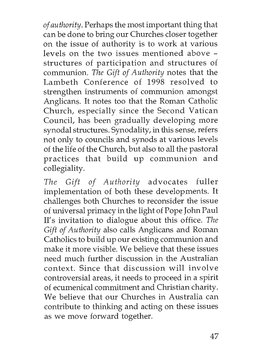*of authority.* Perhaps the most important thing that can be done to bring our Churches closer together on the issue of authority is to work at various levels on the two issues mentioned above structures of participation and structures of communion. *The Gift of Authority* notes that the Lambeth Conference of 1998 resolved to strengthen instruments of communion amongst Anglicans. It notes too that the Roman Catholic Church, especially since the Second Vatican Council, has been gradually developing more synodal structures. Synodality, in this sense, refers not only to councils and synods at various levels of the life of the Church, but also to all the pastoral practices that build up communion and collegiality.

*The Gift of Authority* advocates fuller implementation of both these developments. It challenges both Churches to reconsider the issue of universal primacy in the light of Pope John Paul II's invitation to dialogue about this office. *The Gift of Authority* also calls Anglicans and Roman Catholics to build up our existing communion and make it more visible. We believe that these issues need much further discussion in the Australian context. Since that discussion will involve controversial areas, it needs to proceed in a spirit of ecumenical commitment and Christian charity. We believe that our Churches in Australia can contribute to thinking and acting on these issues as we move forward together.